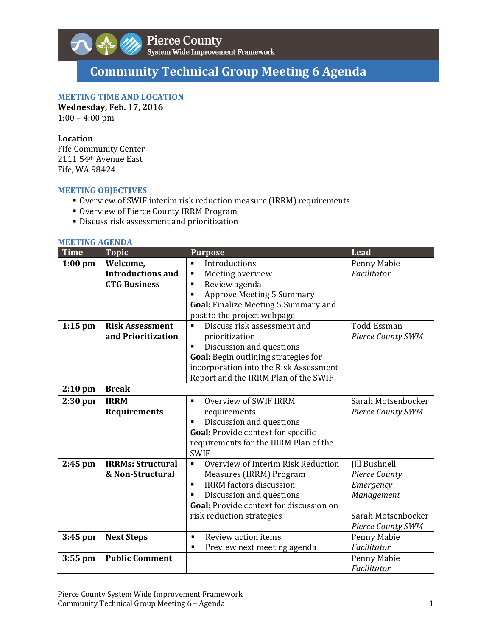

# **Community Technical Group Meeting 6 Agenda**

# **MEETING TIME AND LOCATION**

**Wednesday, Feb. 17, 2016**

 $1:00 - 4:00$  pm

## **Location**

Fife Community Center 2111 54<sup>th</sup> Avenue East Fife, WA 98424

## **MEETING OBJECTIVES**

- Overview of SWIF interim risk reduction measure (IRRM) requirements
- **Overview of Pierce County IRRM Program**
- **Discuss risk assessment and prioritization**

#### **MEETING AGENDA**

| <b>Time</b> | <b>Topic</b>             | <b>Purpose</b>                                       | <b>Lead</b>              |
|-------------|--------------------------|------------------------------------------------------|--------------------------|
| $1:00$ pm   | Welcome,                 | Introductions                                        | Penny Mabie              |
|             | <b>Introductions and</b> | Meeting overview<br>п                                | Facilitator              |
|             | <b>CTG Business</b>      | Review agenda<br>$\blacksquare$                      |                          |
|             |                          | <b>Approve Meeting 5 Summary</b>                     |                          |
|             |                          | Goal: Finalize Meeting 5 Summary and                 |                          |
|             |                          | post to the project webpage                          |                          |
| $1:15$ pm   | <b>Risk Assessment</b>   | Discuss risk assessment and                          | <b>Todd Essman</b>       |
|             | and Prioritization       | prioritization                                       | <b>Pierce County SWM</b> |
|             |                          | Discussion and questions                             |                          |
|             |                          | Goal: Begin outlining strategies for                 |                          |
|             |                          | incorporation into the Risk Assessment               |                          |
|             |                          | Report and the IRRM Plan of the SWIF                 |                          |
| $2:10$ pm   | <b>Break</b>             |                                                      |                          |
| $2:30$ pm   | <b>IRRM</b>              | Overview of SWIF IRRM<br>$\blacksquare$              | Sarah Motsenbocker       |
|             | Requirements             | requirements                                         | <b>Pierce County SWM</b> |
|             |                          | Discussion and questions                             |                          |
|             |                          | Goal: Provide context for specific                   |                          |
|             |                          | requirements for the IRRM Plan of the                |                          |
|             |                          | <b>SWIF</b>                                          |                          |
| $2:45$ pm   | <b>IRRMs: Structural</b> | Overview of Interim Risk Reduction<br>$\blacksquare$ | Jill Bushnell            |
|             | & Non-Structural         | Measures (IRRM) Program                              | Pierce County            |
|             |                          | <b>IRRM</b> factors discussion<br>$\blacksquare$     | Emergency                |
|             |                          | Discussion and questions                             | Management               |
|             |                          | Goal: Provide context for discussion on              |                          |
|             |                          | risk reduction strategies                            | Sarah Motsenbocker       |
|             |                          |                                                      | <b>Pierce County SWM</b> |
| $3:45$ pm   | <b>Next Steps</b>        | Review action items<br>$\blacksquare$                | Penny Mabie              |
|             |                          | Preview next meeting agenda<br>$\blacksquare$        | Facilitator              |
| $3:55$ pm   | <b>Public Comment</b>    |                                                      | Penny Mabie              |
|             |                          |                                                      | Facilitator              |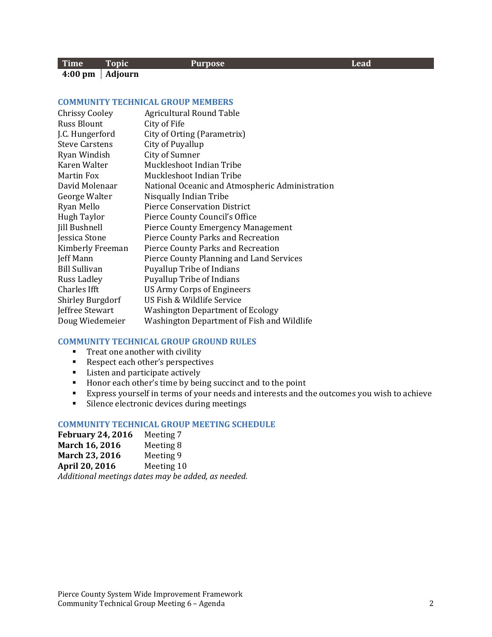#### **Time Topic Purpose Lead 4:00 pm Adjourn**

### **COMMUNITY TECHNICAL GROUP MEMBERS**

| <b>Chrissy Cooley</b><br><b>Russ Blount</b> | Agricultural Round Table<br>City of Fife        |
|---------------------------------------------|-------------------------------------------------|
| J.C. Hungerford                             | City of Orting (Parametrix)                     |
| <b>Steve Carstens</b>                       | City of Puyallup                                |
| Ryan Windish                                | City of Sumner                                  |
| Karen Walter                                | Muckleshoot Indian Tribe                        |
| <b>Martin Fox</b>                           | Muckleshoot Indian Tribe                        |
| David Molenaar                              | National Oceanic and Atmospheric Administration |
| George Walter                               | Nisqually Indian Tribe                          |
| Ryan Mello                                  | <b>Pierce Conservation District</b>             |
| <b>Hugh Taylor</b>                          | Pierce County Council's Office                  |
| Jill Bushnell                               | <b>Pierce County Emergency Management</b>       |
| Jessica Stone                               | Pierce County Parks and Recreation              |
| Kimberly Freeman                            | <b>Pierce County Parks and Recreation</b>       |
| Jeff Mann                                   | Pierce County Planning and Land Services        |
| <b>Bill Sullivan</b>                        | <b>Puyallup Tribe of Indians</b>                |
| Russ Ladley                                 | <b>Puyallup Tribe of Indians</b>                |
| Charles Ifft                                | US Army Corps of Engineers                      |
| <b>Shirley Burgdorf</b>                     | US Fish & Wildlife Service                      |
| Jeffree Stewart                             | <b>Washington Department of Ecology</b>         |
| Doug Wiedemeier                             | Washington Department of Fish and Wildlife      |

#### **COMMUNITY TECHNICAL GROUP GROUND RULES**

- $\blacksquare$  Treat one another with civility
- Respect each other's perspectives
- **EXECUTE:** Listen and participate actively
- Honor each other's time by being succinct and to the point
- Express yourself in terms of your needs and interests and the outcomes you wish to achieve
- **Silence electronic devices during meetings**

## **COMMUNITY TECHNICAL GROUP MEETING SCHEDULE**

| <b>February 24, 2016</b> | Meeting 7  |
|--------------------------|------------|
| March 16, 2016           | Meeting 8  |
| March 23, 2016           | Meeting 9  |
| April 20, 2016           | Meeting 10 |

*Additional meetings dates may be added, as needed.*